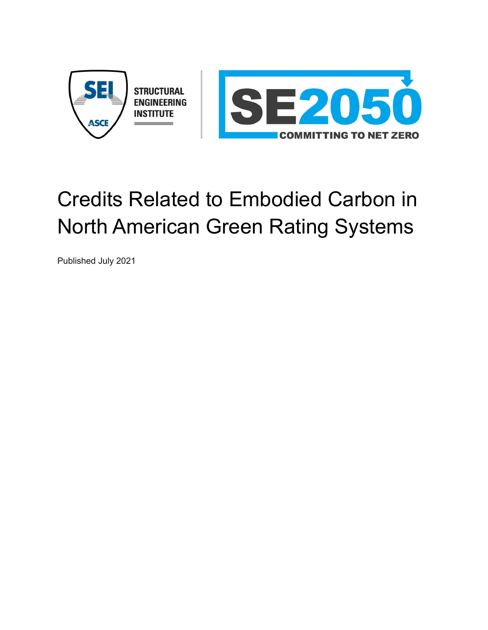

# Credits Related to Embodied Carbon in North American Green Rating Systems

Published July 2021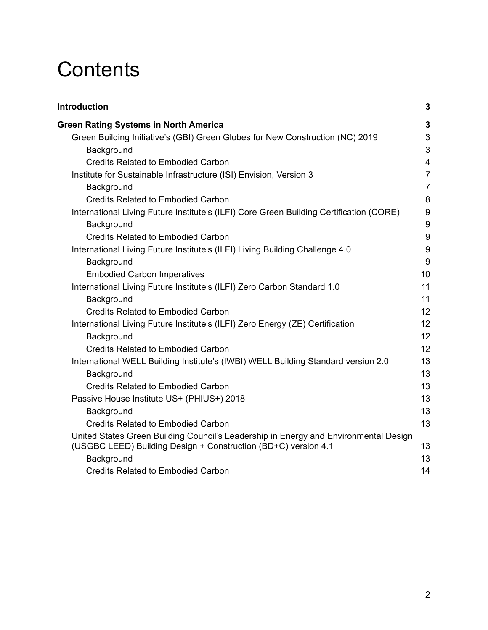# **Contents**

| 3                                                                                          |
|--------------------------------------------------------------------------------------------|
| 3                                                                                          |
| 3                                                                                          |
| 3                                                                                          |
| $\overline{4}$                                                                             |
| $\overline{7}$                                                                             |
| $\overline{7}$                                                                             |
| 8                                                                                          |
| $\boldsymbol{9}$                                                                           |
| 9                                                                                          |
| $\boldsymbol{9}$                                                                           |
| $9\,$                                                                                      |
| $\boldsymbol{9}$                                                                           |
| 10                                                                                         |
| 11                                                                                         |
| 11                                                                                         |
| 12                                                                                         |
| 12                                                                                         |
| 12                                                                                         |
| 12                                                                                         |
| 13                                                                                         |
| 13                                                                                         |
| 13                                                                                         |
| 13                                                                                         |
| 13                                                                                         |
| 13                                                                                         |
| United States Green Building Council's Leadership in Energy and Environmental Design<br>13 |
| 13                                                                                         |
| 14                                                                                         |
|                                                                                            |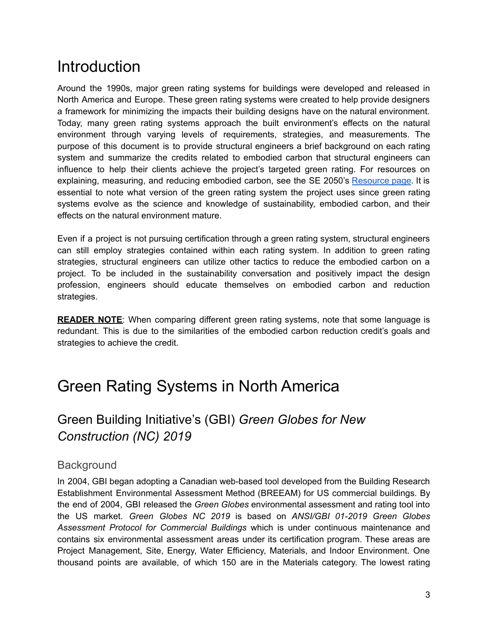## **Introduction**

Around the 1990s, major green rating systems for buildings were developed and released in North America and Europe. These green rating systems were created to help provide designers a framework for minimizing the impacts their building designs have on the natural environment. Today, many green rating systems approach the built environment's effects on the natural environment through varying levels of requirements, strategies, and measurements. The purpose of this document is to provide structural engineers a brief background on each rating system and summarize the credits related to embodied carbon that structural engineers can influence to help their clients achieve the project's targeted green rating. For resources on explaining, measuring, and reducing embodied carbon, see the SE 2050's [Resource](https://se2050.org/resources-overview/) page. It is essential to note what version of the green rating system the project uses since green rating systems evolve as the science and knowledge of sustainability, embodied carbon, and their effects on the natural environment mature.

Even if a project is not pursuing certification through a green rating system, structural engineers can still employ strategies contained within each rating system. In addition to green rating strategies, structural engineers can utilize other tactics to reduce the embodied carbon on a project. To be included in the sustainability conversation and positively impact the design profession, engineers should educate themselves on embodied carbon and reduction strategies.

**READER NOTE**: When comparing different green rating systems, note that some language is redundant. This is due to the similarities of the embodied carbon reduction credit's goals and strategies to achieve the credit.

## <span id="page-2-0"></span>Green Rating Systems in North America

## <span id="page-2-1"></span>Green Building Initiative's (GBI) *Green Globes for New Construction (NC) 2019*

#### <span id="page-2-2"></span>**Background**

In 2004, GBI began adopting a Canadian web-based tool developed from the Building Research Establishment Environmental Assessment Method (BREEAM) for US commercial buildings. By the end of 2004, GBI released the *Green Globes* environmental assessment and rating tool into the US market. *Green Globes NC 2019* is based on *ANSI/GBI 01-2019 Green Globes Assessment Protocol for Commercial Buildings* which is under continuous maintenance and contains six environmental assessment areas under its certification program. These areas are Project Management, Site, Energy, Water Efficiency, Materials, and Indoor Environment. One thousand points are available, of which 150 are in the Materials category. The lowest rating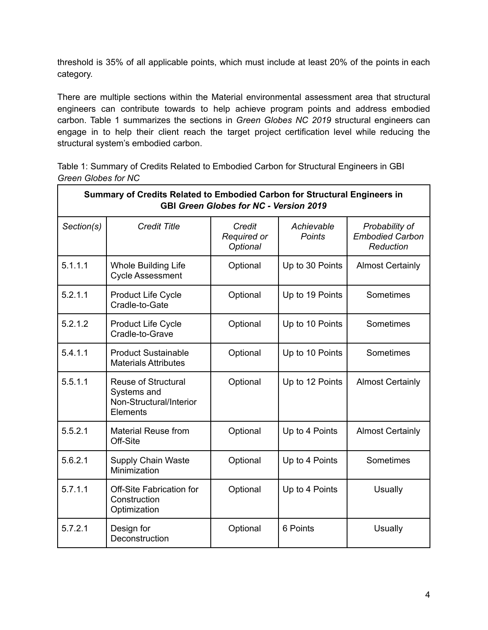threshold is 35% of all applicable points, which must include at least 20% of the points in each category.

There are multiple sections within the Material environmental assessment area that structural engineers can contribute towards to help achieve program points and address embodied carbon. Table 1 summarizes the sections in *Green Globes NC 2019* structural engineers can engage in to help their client reach the target project certification level while reducing the structural system's embodied carbon.

Table 1: Summary of Credits Related to Embodied Carbon for Structural Engineers in GBI *Green Globes for NC*

| Summary of Credits Related to Embodied Carbon for Structural Engineers in<br><b>GBI Green Globes for NC - Version 2019</b> |                                                                                  |                                   |                             |                                                       |
|----------------------------------------------------------------------------------------------------------------------------|----------------------------------------------------------------------------------|-----------------------------------|-----------------------------|-------------------------------------------------------|
| Section(s)                                                                                                                 | <b>Credit Title</b>                                                              | Credit<br>Required or<br>Optional | Achievable<br><b>Points</b> | Probability of<br><b>Embodied Carbon</b><br>Reduction |
| 5.1.1.1                                                                                                                    | <b>Whole Building Life</b><br><b>Cycle Assessment</b>                            | Optional                          | Up to 30 Points             | <b>Almost Certainly</b>                               |
| 5.2.1.1                                                                                                                    | <b>Product Life Cycle</b><br>Cradle-to-Gate                                      | Optional                          | Up to 19 Points             | Sometimes                                             |
| 5.2.1.2                                                                                                                    | <b>Product Life Cycle</b><br>Cradle-to-Grave                                     | Optional                          | Up to 10 Points             | Sometimes                                             |
| 5.4.1.1                                                                                                                    | <b>Product Sustainable</b><br><b>Materials Attributes</b>                        | Optional                          | Up to 10 Points             | Sometimes                                             |
| 5.5.1.1                                                                                                                    | <b>Reuse of Structural</b><br>Systems and<br>Non-Structural/Interior<br>Elements | Optional                          | Up to 12 Points             | <b>Almost Certainly</b>                               |
| 5.5.2.1                                                                                                                    | <b>Material Reuse from</b><br>Off-Site                                           | Optional                          | Up to 4 Points              | <b>Almost Certainly</b>                               |
| 5.6.2.1                                                                                                                    | <b>Supply Chain Waste</b><br>Minimization                                        | Optional                          | Up to 4 Points              | Sometimes                                             |
| 5.7.1.1                                                                                                                    | Off-Site Fabrication for<br>Construction<br>Optimization                         | Optional                          | Up to 4 Points              | <b>Usually</b>                                        |
| 5.7.2.1                                                                                                                    | Design for<br>Deconstruction                                                     | Optional                          | 6 Points                    | Usually                                               |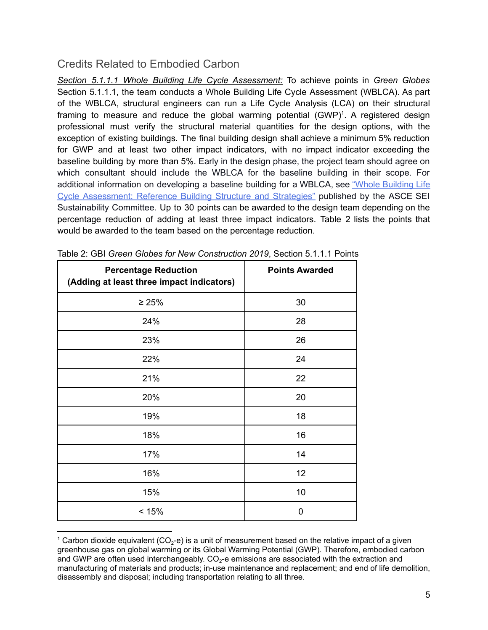<span id="page-4-0"></span>*Section 5.1.1.1 Whole Building Life Cycle Assessment:* To achieve points in *Green Globes* Section 5.1.1.1, the team conducts a Whole Building Life Cycle Assessment (WBLCA). As part of the WBLCA, structural engineers can run a Life Cycle Analysis (LCA) on their structural framing to measure and reduce the global warming potential (GWP)<sup>1</sup>. A registered design professional must verify the structural material quantities for the design options, with the exception of existing buildings. The final building design shall achieve a minimum 5% reduction for GWP and at least two other impact indicators, with no impact indicator exceeding the baseline building by more than 5%. Early in the design phase, the project team should agree on which consultant should include the WBLCA for the baseline building in their scope. For additional information on developing a baseline building for a WBLCA, see "Whole [Building](https://ascelibrary.org/doi/book/10.1061/9780784415054) Life Cycle [Assessment:](https://ascelibrary.org/doi/book/10.1061/9780784415054) Reference Building Structure and Strategies" published by the ASCE SEI Sustainability Committee. Up to 30 points can be awarded to the design team depending on the percentage reduction of adding at least three impact indicators. Table 2 lists the points that would be awarded to the team based on the percentage reduction.

| <b>Percentage Reduction</b><br>(Adding at least three impact indicators) | <b>Points Awarded</b> |
|--------------------------------------------------------------------------|-----------------------|
| $\geq 25\%$                                                              | 30                    |
| 24%                                                                      | 28                    |
| 23%                                                                      | 26                    |
| 22%                                                                      | 24                    |
| 21%                                                                      | 22                    |
| 20%                                                                      | 20                    |
| 19%                                                                      | 18                    |
| 18%                                                                      | 16                    |
| 17%                                                                      | 14                    |
| 16%                                                                      | 12                    |
| 15%                                                                      | 10                    |
| < 15%                                                                    | 0                     |

| Table 2: GBI Green Globes for New Construction 2019, Section 5.1.1.1 Points |  |  |
|-----------------------------------------------------------------------------|--|--|
|-----------------------------------------------------------------------------|--|--|

<sup>&</sup>lt;sup>1</sup> Carbon dioxide equivalent (CO<sub>2</sub>-e) is a unit of measurement based on the relative impact of a given greenhouse gas on global warming or its Global Warming Potential (GWP). Therefore, embodied carbon and GWP are often used interchangeably.  $CO_2$ -e emissions are associated with the extraction and manufacturing of materials and products; in-use maintenance and replacement; and end of life demolition, disassembly and disposal; including transportation relating to all three.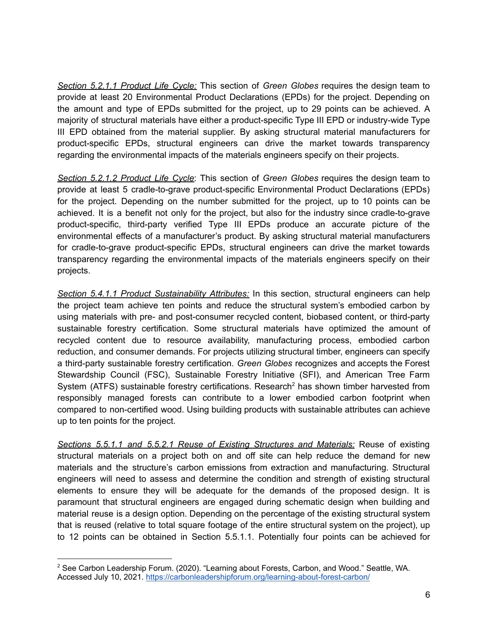*Section 5.2.1.1 Product Life Cycle:* This section of *Green Globes* requires the design team to provide at least 20 Environmental Product Declarations (EPDs) for the project. Depending on the amount and type of EPDs submitted for the project, up to 29 points can be achieved. A majority of structural materials have either a product-specific Type III EPD or industry-wide Type III EPD obtained from the material supplier. By asking structural material manufacturers for product-specific EPDs, structural engineers can drive the market towards transparency regarding the environmental impacts of the materials engineers specify on their projects.

*Section 5.2.1.2 Product Life Cycle*: This section of *Green Globes* requires the design team to provide at least 5 cradle-to-grave product-specific Environmental Product Declarations (EPDs) for the project. Depending on the number submitted for the project, up to 10 points can be achieved. It is a benefit not only for the project, but also for the industry since cradle-to-grave product-specific, third-party verified Type III EPDs produce an accurate picture of the environmental effects of a manufacturer's product. By asking structural material manufacturers for cradle-to-grave product-specific EPDs, structural engineers can drive the market towards transparency regarding the environmental impacts of the materials engineers specify on their projects.

*Section 5.4.1.1 Product Sustainability Attributes:* In this section, structural engineers can help the project team achieve ten points and reduce the structural system's embodied carbon by using materials with pre- and post-consumer recycled content, biobased content, or third-party sustainable forestry certification. Some structural materials have optimized the amount of recycled content due to resource availability, manufacturing process, embodied carbon reduction, and consumer demands. For projects utilizing structural timber, engineers can specify a third-party sustainable forestry certification. *Green Globes* recognizes and accepts the Forest Stewardship Council (FSC), Sustainable Forestry Initiative (SFI), and American Tree Farm System (ATFS) sustainable forestry certifications. Research<sup>2</sup> has shown timber harvested from responsibly managed forests can contribute to a lower embodied carbon footprint when compared to non-certified wood. Using building products with sustainable attributes can achieve up to ten points for the project.

*Sections 5.5.1.1 and 5.5.2.1 Reuse of Existing Structures and Materials:* Reuse of existing structural materials on a project both on and off site can help reduce the demand for new materials and the structure's carbon emissions from extraction and manufacturing. Structural engineers will need to assess and determine the condition and strength of existing structural elements to ensure they will be adequate for the demands of the proposed design. It is paramount that structural engineers are engaged during schematic design when building and material reuse is a design option. Depending on the percentage of the existing structural system that is reused (relative to total square footage of the entire structural system on the project), up to 12 points can be obtained in Section 5.5.1.1. Potentially four points can be achieved for

<sup>2</sup> See Carbon Leadership Forum. (2020). "Learning about Forests, Carbon, and Wood." Seattle, WA. Accessed July 10, 2021. <https://carbonleadershipforum.org/learning-about-forest-carbon/>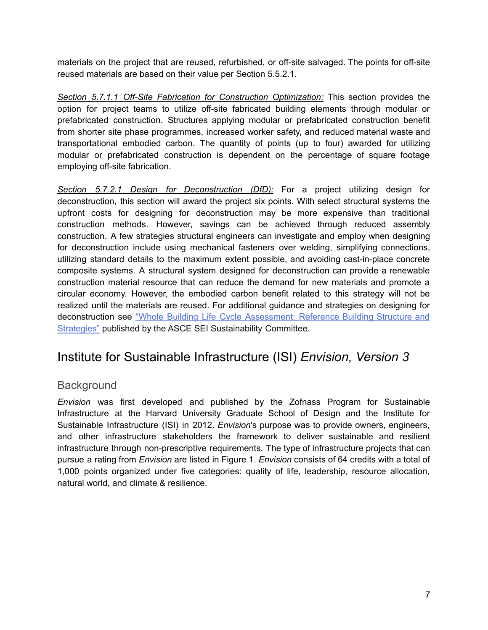materials on the project that are reused, refurbished, or off-site salvaged. The points for off-site reused materials are based on their value per Section 5.5.2.1.

*Section 5.7.1.1 Off-Site Fabrication for Construction Optimization:* This section provides the option for project teams to utilize off-site fabricated building elements through modular or prefabricated construction. Structures applying modular or prefabricated construction benefit from shorter site phase programmes, increased worker safety, and reduced material waste and transportational embodied carbon. The quantity of points (up to four) awarded for utilizing modular or prefabricated construction is dependent on the percentage of square footage employing off-site fabrication.

*Section 5.7.2.1 Design for Deconstruction (DfD):* For a project utilizing design for deconstruction, this section will award the project six points. With select structural systems the upfront costs for designing for deconstruction may be more expensive than traditional construction methods. However, savings can be achieved through reduced assembly construction. A few strategies structural engineers can investigate and employ when designing for deconstruction include using mechanical fasteners over welding, simplifying connections, utilizing standard details to the maximum extent possible, and avoiding cast-in-place concrete composite systems. A structural system designed for deconstruction can provide a renewable construction material resource that can reduce the demand for new materials and promote a circular economy. However, the embodied carbon benefit related to this strategy will not be realized until the materials are reused. For additional guidance and strategies on designing for deconstruction see "Whole Building Life Cycle [Assessment:](https://ascelibrary.org/doi/book/10.1061/9780784415054) Reference Building Structure and [Strategies"](https://ascelibrary.org/doi/book/10.1061/9780784415054) published by the ASCE SEI Sustainability Committee.

### <span id="page-6-0"></span>Institute for Sustainable Infrastructure (ISI) *Envision, Version 3*

#### <span id="page-6-1"></span>**Background**

*Envision* was first developed and published by the Zofnass Program for Sustainable Infrastructure at the Harvard University Graduate School of Design and the Institute for Sustainable Infrastructure (ISI) in 2012. *Envision*'s purpose was to provide owners, engineers, and other infrastructure stakeholders the framework to deliver sustainable and resilient infrastructure through non-prescriptive requirements. The type of infrastructure projects that can pursue a rating from *Envision* are listed in Figure 1. *Envision* consists of 64 credits with a total of 1,000 points organized under five categories: quality of life, leadership, resource allocation, natural world, and climate & resilience.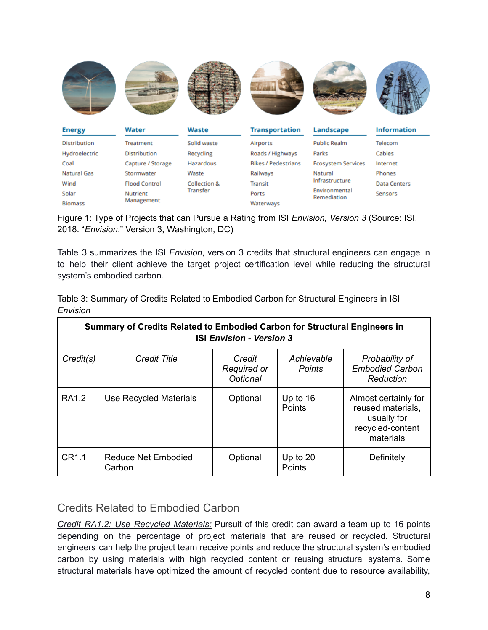

Figure 1: Type of Projects that can Pursue a Rating from ISI *Envision, Version 3* (Source: ISI. 2018. "*Envision*." Version 3, Washington, DC)

Table 3 summarizes the ISI *Envision*, version 3 credits that structural engineers can engage in to help their client achieve the target project certification level while reducing the structural system's embodied carbon.

| Summary of Credits Related to Embodied Carbon for Structural Engineers in<br><b>ISI Envision - Version 3</b> |                                      |                                   |                             |                                                                                           |
|--------------------------------------------------------------------------------------------------------------|--------------------------------------|-----------------------------------|-----------------------------|-------------------------------------------------------------------------------------------|
| Credit(s)                                                                                                    | <b>Credit Title</b>                  | Credit<br>Required or<br>Optional | Achievable<br><b>Points</b> | Probability of<br><b>Embodied Carbon</b><br>Reduction                                     |
| RA1.2                                                                                                        | Use Recycled Materials               | Optional                          | Up to $16$<br>Points        | Almost certainly for<br>reused materials,<br>usually for<br>recycled-content<br>materials |
| CR1.1                                                                                                        | <b>Reduce Net Embodied</b><br>Carbon | Optional                          | Up to $20$<br>Points        | Definitely                                                                                |

Table 3: Summary of Credits Related to Embodied Carbon for Structural Engineers in ISI *Envision*

#### <span id="page-7-0"></span>Credits Related to Embodied Carbon

*Credit RA1.2: Use Recycled Materials:* Pursuit of this credit can award a team up to 16 points depending on the percentage of project materials that are reused or recycled. Structural engineers can help the project team receive points and reduce the structural system's embodied carbon by using materials with high recycled content or reusing structural systems. Some structural materials have optimized the amount of recycled content due to resource availability,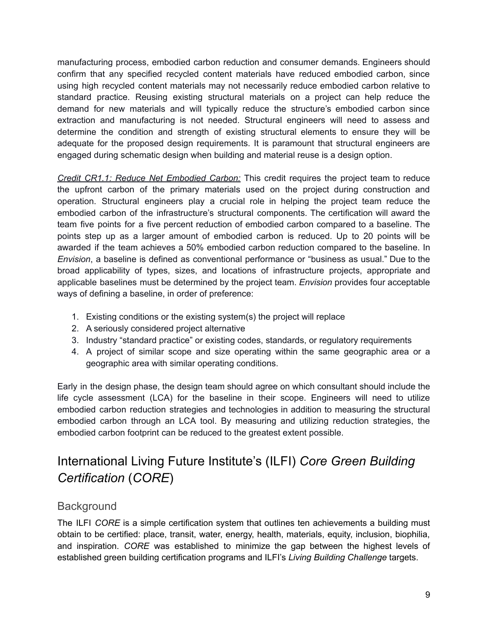manufacturing process, embodied carbon reduction and consumer demands. Engineers should confirm that any specified recycled content materials have reduced embodied carbon, since using high recycled content materials may not necessarily reduce embodied carbon relative to standard practice. Reusing existing structural materials on a project can help reduce the demand for new materials and will typically reduce the structure's embodied carbon since extraction and manufacturing is not needed. Structural engineers will need to assess and determine the condition and strength of existing structural elements to ensure they will be adequate for the proposed design requirements. It is paramount that structural engineers are engaged during schematic design when building and material reuse is a design option.

*Credit CR1.1: Reduce Net Embodied Carbon:* This credit requires the project team to reduce the upfront carbon of the primary materials used on the project during construction and operation. Structural engineers play a crucial role in helping the project team reduce the embodied carbon of the infrastructure's structural components. The certification will award the team five points for a five percent reduction of embodied carbon compared to a baseline. The points step up as a larger amount of embodied carbon is reduced. Up to 20 points will be awarded if the team achieves a 50% embodied carbon reduction compared to the baseline. In *Envision*, a baseline is defined as conventional performance or "business as usual." Due to the broad applicability of types, sizes, and locations of infrastructure projects, appropriate and applicable baselines must be determined by the project team. *Envision* provides four acceptable ways of defining a baseline, in order of preference:

- 1. Existing conditions or the existing system(s) the project will replace
- 2. A seriously considered project alternative
- 3. Industry "standard practice" or existing codes, standards, or regulatory requirements
- 4. A project of similar scope and size operating within the same geographic area or a geographic area with similar operating conditions.

Early in the design phase, the design team should agree on which consultant should include the life cycle assessment (LCA) for the baseline in their scope. Engineers will need to utilize embodied carbon reduction strategies and technologies in addition to measuring the structural embodied carbon through an LCA tool. By measuring and utilizing reduction strategies, the embodied carbon footprint can be reduced to the greatest extent possible.

## <span id="page-8-0"></span>International Living Future Institute's (ILFI) *Core Green Building Certification* (*CORE*)

#### <span id="page-8-1"></span>**Background**

The ILFI *CORE* is a simple certification system that outlines ten achievements a building must obtain to be certified: place, transit, water, energy, health, materials, equity, inclusion, biophilia, and inspiration. *CORE* was established to minimize the gap between the highest levels of established green building certification programs and ILFI's *Living Building Challenge* targets.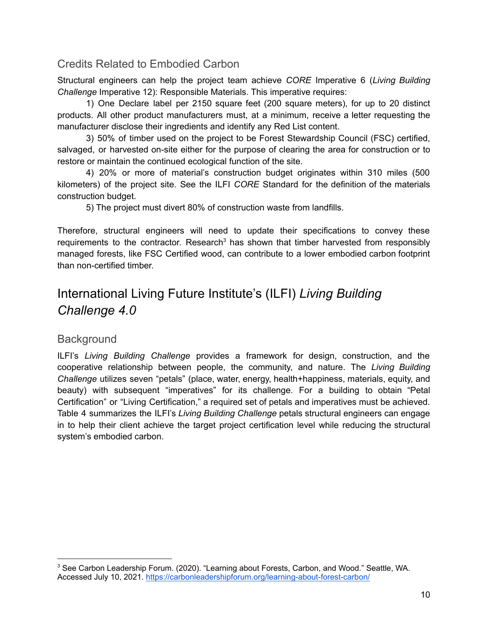<span id="page-9-0"></span>Structural engineers can help the project team achieve *CORE* Imperative 6 (*Living Building Challenge* Imperative 12): Responsible Materials. This imperative requires:

1) One Declare label per 2150 square feet (200 square meters), for up to 20 distinct products. All other product manufacturers must, at a minimum, receive a letter requesting the manufacturer disclose their ingredients and identify any Red List content.

3) 50% of timber used on the project to be Forest Stewardship Council (FSC) certified, salvaged, or harvested on-site either for the purpose of clearing the area for construction or to restore or maintain the continued ecological function of the site.

4) 20% or more of material's construction budget originates within 310 miles (500 kilometers) of the project site. See the ILFI *CORE* Standard for the definition of the materials construction budget.

5) The project must divert 80% of construction waste from landfills.

Therefore, structural engineers will need to update their specifications to convey these requirements to the contractor. Research<sup>3</sup> has shown that timber harvested from responsibly managed forests, like FSC Certified wood, can contribute to a lower embodied carbon footprint than non-certified timber.

## <span id="page-9-1"></span>International Living Future Institute's (ILFI) *Living Building Challenge 4.0*

#### <span id="page-9-2"></span>**Background**

ILFI's *Living Building Challenge* provides a framework for design, construction, and the cooperative relationship between people, the community, and nature. The *Living Building Challenge* utilizes seven "petals" (place, water, energy, health+happiness, materials, equity, and beauty) with subsequent "imperatives" for its challenge. For a building to obtain "Petal Certification" or "Living Certification," a required set of petals and imperatives must be achieved. Table 4 summarizes the ILFI's *Living Building Challenge* petals structural engineers can engage in to help their client achieve the target project certification level while reducing the structural system's embodied carbon.

<sup>3</sup> See Carbon Leadership Forum. (2020). "Learning about Forests, Carbon, and Wood." Seattle, WA. Accessed July 10, 2021. <https://carbonleadershipforum.org/learning-about-forest-carbon/>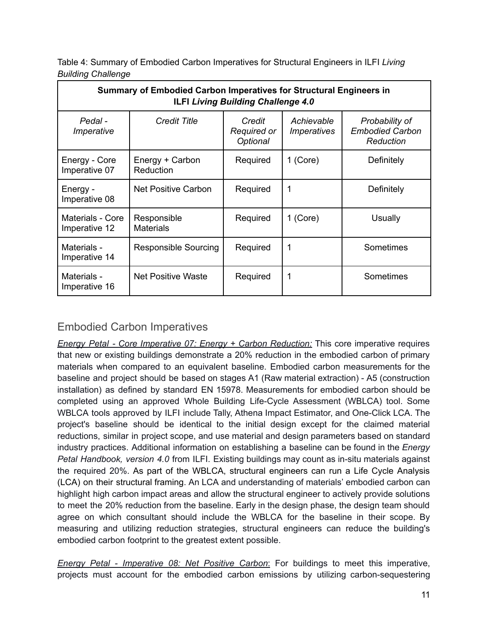| Table 4: Summary of Embodied Carbon Imperatives for Structural Engineers in ILFI Living |  |
|-----------------------------------------------------------------------------------------|--|
| <b>Building Challenge</b>                                                               |  |

| Summary of Embodied Carbon Imperatives for Structural Engineers in<br><b>ILFI Living Building Challenge 4.0</b> |                                 |                                          |                                         |                                                       |
|-----------------------------------------------------------------------------------------------------------------|---------------------------------|------------------------------------------|-----------------------------------------|-------------------------------------------------------|
| Pedal -<br>Imperative                                                                                           | <b>Credit Title</b>             | Credit<br><b>Required or</b><br>Optional | Achievable<br><i><b>Imperatives</b></i> | Probability of<br><b>Embodied Carbon</b><br>Reduction |
| Energy - Core<br>Imperative 07                                                                                  | Energy + Carbon<br>Reduction    | Required                                 | 1 (Core)                                | Definitely                                            |
| Energy -<br>Imperative 08                                                                                       | Net Positive Carbon             | Required                                 | 1                                       | Definitely                                            |
| Materials - Core<br>Imperative 12                                                                               | Responsible<br><b>Materials</b> | Required                                 | 1 (Core)                                | Usually                                               |
| Materials -<br>Imperative 14                                                                                    | Responsible Sourcing            | Required                                 | 1                                       | Sometimes                                             |
| Materials -<br>Imperative 16                                                                                    | Net Positive Waste              | Required                                 | 1                                       | Sometimes                                             |

#### <span id="page-10-0"></span>Embodied Carbon Imperatives

*Energy Petal - Core Imperative 07: Energy + Carbon Reduction:* This core imperative requires that new or existing buildings demonstrate a 20% reduction in the embodied carbon of primary materials when compared to an equivalent baseline. Embodied carbon measurements for the baseline and project should be based on stages A1 (Raw material extraction) - A5 (construction installation) as defined by standard EN 15978. Measurements for embodied carbon should be completed using an approved Whole Building Life-Cycle Assessment (WBLCA) tool. Some WBLCA tools approved by ILFI include Tally, Athena Impact Estimator, and One-Click LCA. The project's baseline should be identical to the initial design except for the claimed material reductions, similar in project scope, and use material and design parameters based on standard industry practices. Additional information on establishing a baseline can be found in the *Energy Petal Handbook, version 4.0* from ILFI. Existing buildings may count as in-situ materials against the required 20%. As part of the WBLCA, structural engineers can run a Life Cycle Analysis (LCA) on their structural framing. An LCA and understanding of materials' embodied carbon can highlight high carbon impact areas and allow the structural engineer to actively provide solutions to meet the 20% reduction from the baseline. Early in the design phase, the design team should agree on which consultant should include the WBLCA for the baseline in their scope. By measuring and utilizing reduction strategies, structural engineers can reduce the building's embodied carbon footprint to the greatest extent possible.

*Energy Petal - Imperative 08: Net Positive Carbon*: For buildings to meet this imperative, projects must account for the embodied carbon emissions by utilizing carbon-sequestering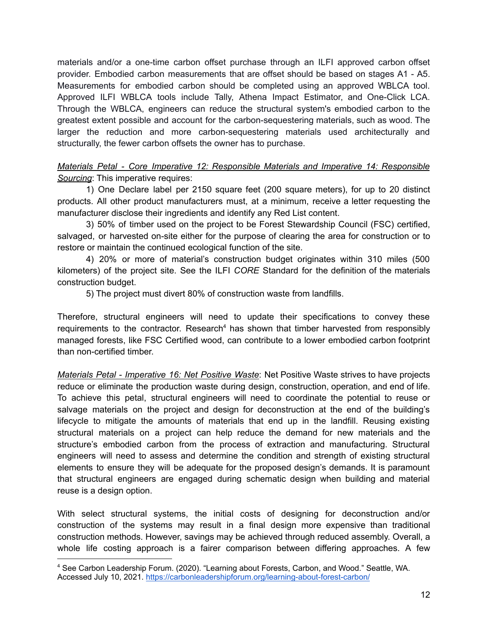materials and/or a one-time carbon offset purchase through an ILFI approved carbon offset provider. Embodied carbon measurements that are offset should be based on stages A1 - A5. Measurements for embodied carbon should be completed using an approved WBLCA tool. Approved ILFI WBLCA tools include Tally, Athena Impact Estimator, and One-Click LCA. Through the WBLCA, engineers can reduce the structural system's embodied carbon to the greatest extent possible and account for the carbon-sequestering materials, such as wood. The larger the reduction and more carbon-sequestering materials used architecturally and structurally, the fewer carbon offsets the owner has to purchase.

*Materials Petal - Core Imperative 12: Responsible Materials and Imperative 14: Responsible Sourcing*: This imperative requires:

1) One Declare label per 2150 square feet (200 square meters), for up to 20 distinct products. All other product manufacturers must, at a minimum, receive a letter requesting the manufacturer disclose their ingredients and identify any Red List content.

3) 50% of timber used on the project to be Forest Stewardship Council (FSC) certified, salvaged, or harvested on-site either for the purpose of clearing the area for construction or to restore or maintain the continued ecological function of the site.

4) 20% or more of material's construction budget originates within 310 miles (500 kilometers) of the project site. See the ILFI *CORE* Standard for the definition of the materials construction budget.

5) The project must divert 80% of construction waste from landfills.

Therefore, structural engineers will need to update their specifications to convey these requirements to the contractor. Research<sup>4</sup> has shown that timber harvested from responsibly managed forests, like FSC Certified wood, can contribute to a lower embodied carbon footprint than non-certified timber.

*Materials Petal - Imperative 16: Net Positive Waste*: Net Positive Waste strives to have projects reduce or eliminate the production waste during design, construction, operation, and end of life. To achieve this petal, structural engineers will need to coordinate the potential to reuse or salvage materials on the project and design for deconstruction at the end of the building's lifecycle to mitigate the amounts of materials that end up in the landfill. Reusing existing structural materials on a project can help reduce the demand for new materials and the structure's embodied carbon from the process of extraction and manufacturing. Structural engineers will need to assess and determine the condition and strength of existing structural elements to ensure they will be adequate for the proposed design's demands. It is paramount that structural engineers are engaged during schematic design when building and material reuse is a design option.

With select structural systems, the initial costs of designing for deconstruction and/or construction of the systems may result in a final design more expensive than traditional construction methods. However, savings may be achieved through reduced assembly. Overall, a whole life costing approach is a fairer comparison between differing approaches. A few

<sup>4</sup> See Carbon Leadership Forum. (2020). "Learning about Forests, Carbon, and Wood." Seattle, WA. Accessed July 10, 2021. <https://carbonleadershipforum.org/learning-about-forest-carbon/>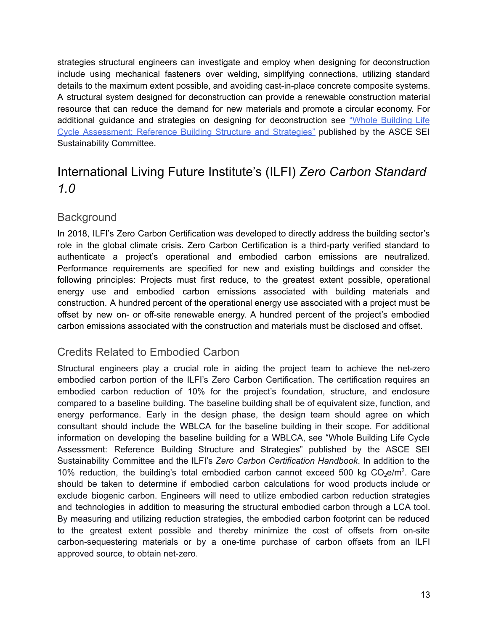strategies structural engineers can investigate and employ when designing for deconstruction include using mechanical fasteners over welding, simplifying connections, utilizing standard details to the maximum extent possible, and avoiding cast-in-place concrete composite systems. A structural system designed for deconstruction can provide a renewable construction material resource that can reduce the demand for new materials and promote a circular economy. For additional guidance and strategies on designing for deconstruction see "Whole [Building](https://ascelibrary.org/doi/book/10.1061/9780784415054) Life Cycle [Assessment:](https://ascelibrary.org/doi/book/10.1061/9780784415054) Reference Building Structure and Strategies" published by the ASCE SEI Sustainability Committee.

## <span id="page-12-0"></span>International Living Future Institute's (ILFI) *Zero Carbon Standard 1.0*

#### <span id="page-12-1"></span>**Background**

In 2018, ILFI's Zero Carbon Certification was developed to directly address the building sector's role in the global climate crisis. Zero Carbon Certification is a third-party verified standard to authenticate a project's operational and embodied carbon emissions are neutralized. Performance requirements are specified for new and existing buildings and consider the following principles: Projects must first reduce, to the greatest extent possible, operational energy use and embodied carbon emissions associated with building materials and construction. A hundred percent of the operational energy use associated with a project must be offset by new on- or off-site renewable energy. A hundred percent of the project's embodied carbon emissions associated with the construction and materials must be disclosed and offset.

#### <span id="page-12-2"></span>Credits Related to Embodied Carbon

Structural engineers play a crucial role in aiding the project team to achieve the net-zero embodied carbon portion of the ILFI's Zero Carbon Certification. The certification requires an embodied carbon reduction of 10% for the project's foundation, structure, and enclosure compared to a baseline building. The baseline building shall be of equivalent size, function, and energy performance. Early in the design phase, the design team should agree on which consultant should include the WBLCA for the baseline building in their scope. For additional information on developing the baseline building for a WBLCA, see "Whole Building Life Cycle Assessment: Reference Building Structure and Strategies" published by the ASCE SEI Sustainability Committee and the ILFI's *Zero Carbon Certification Handbook*. In addition to the 10% reduction, the building's total embodied carbon cannot exceed 500 kg  $CO<sub>2</sub>e/m<sup>2</sup>$ . Care should be taken to determine if embodied carbon calculations for wood products include or exclude biogenic carbon. Engineers will need to utilize embodied carbon reduction strategies and technologies in addition to measuring the structural embodied carbon through a LCA tool. By measuring and utilizing reduction strategies, the embodied carbon footprint can be reduced to the greatest extent possible and thereby minimize the cost of offsets from on-site carbon-sequestering materials or by a one-time purchase of carbon offsets from an ILFI approved source, to obtain net-zero.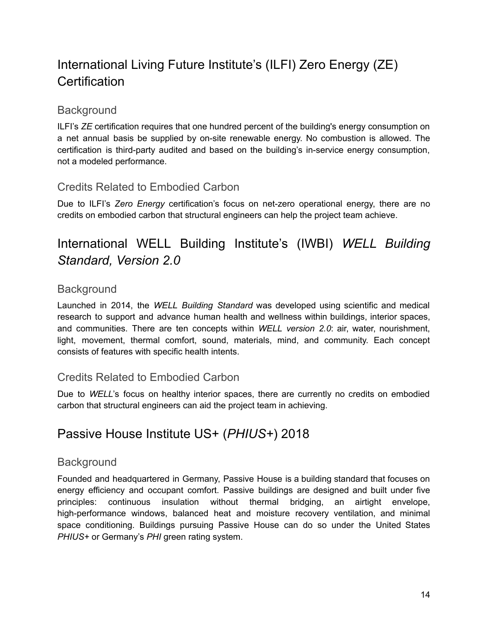## <span id="page-13-0"></span>International Living Future Institute's (ILFI) Zero Energy (ZE) **Certification**

#### <span id="page-13-1"></span>**Background**

ILFI's *ZE* certification requires that one hundred percent of the building's energy consumption on a net annual basis be supplied by on-site renewable energy. No combustion is allowed. The certification is third-party audited and based on the building's in-service energy consumption, not a modeled performance.

#### <span id="page-13-2"></span>Credits Related to Embodied Carbon

Due to ILFI's *Zero Energy* certification's focus on net-zero operational energy, there are no credits on embodied carbon that structural engineers can help the project team achieve.

## <span id="page-13-3"></span>International WELL Building Institute's (IWBI) *WELL Building Standard, Version 2.0*

#### <span id="page-13-4"></span>**Background**

Launched in 2014, the *WELL Building Standard* was developed using scientific and medical research to support and advance human health and wellness within buildings, interior spaces, and communities. There are ten concepts within *WELL version 2.0*: air, water, nourishment, light, movement, thermal comfort, sound, materials, mind, and community. Each concept consists of features with specific health intents.

#### <span id="page-13-5"></span>Credits Related to Embodied Carbon

Due to *WELL*'s focus on healthy interior spaces, there are currently no credits on embodied carbon that structural engineers can aid the project team in achieving.

### <span id="page-13-6"></span>Passive House Institute US+ (*PHIUS+*) 2018

#### <span id="page-13-7"></span>**Background**

Founded and headquartered in Germany, Passive House is a building standard that focuses on energy efficiency and occupant comfort. Passive buildings are designed and built under five principles: continuous insulation without thermal bridging, an airtight envelope, high-performance windows, balanced heat and moisture recovery ventilation, and minimal space conditioning. Buildings pursuing Passive House can do so under the United States *PHIUS+* or Germany's *PHI* green rating system.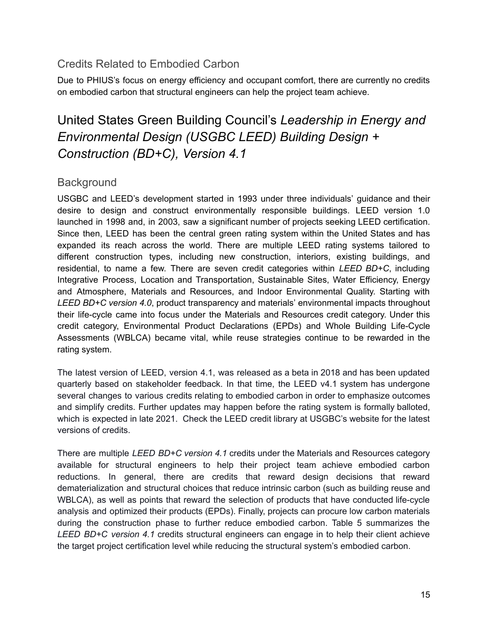<span id="page-14-0"></span>Due to PHIUS's focus on energy efficiency and occupant comfort, there are currently no credits on embodied carbon that structural engineers can help the project team achieve.

## United States Green Building Council's *Leadership in Energy and Environmental Design (USGBC LEED) Building Design + Construction (BD+C), Version 4.1*

#### <span id="page-14-2"></span><span id="page-14-1"></span>**Background**

USGBC and LEED's development started in 1993 under three individuals' guidance and their desire to design and construct environmentally responsible buildings. LEED version 1.0 launched in 1998 and, in 2003, saw a significant number of projects seeking LEED certification. Since then, LEED has been the central green rating system within the United States and has expanded its reach across the world. There are multiple LEED rating systems tailored to different construction types, including new construction, interiors, existing buildings, and residential, to name a few. There are seven credit categories within *LEED BD+C*, including Integrative Process, Location and Transportation, Sustainable Sites, Water Efficiency, Energy and Atmosphere, Materials and Resources, and Indoor Environmental Quality. Starting with *LEED BD+C version 4.0*, product transparency and materials' environmental impacts throughout their life-cycle came into focus under the Materials and Resources credit category. Under this credit category, Environmental Product Declarations (EPDs) and Whole Building Life-Cycle Assessments (WBLCA) became vital, while reuse strategies continue to be rewarded in the rating system.

The latest version of LEED, version 4.1, was released as a beta in 2018 and has been updated quarterly based on stakeholder feedback. In that time, the LEED v4.1 system has undergone several changes to various credits relating to embodied carbon in order to emphasize outcomes and simplify credits. Further updates may happen before the rating system is formally balloted, which is expected in late 2021. Check the LEED credit library at USGBC's website for the latest versions of credits.

There are multiple *LEED BD+C version 4.1* credits under the Materials and Resources category available for structural engineers to help their project team achieve embodied carbon reductions. In general, there are credits that reward design decisions that reward dematerialization and structural choices that reduce intrinsic carbon (such as building reuse and WBLCA), as well as points that reward the selection of products that have conducted life-cycle analysis and optimized their products (EPDs). Finally, projects can procure low carbon materials during the construction phase to further reduce embodied carbon. Table 5 summarizes the *LEED BD+C version 4.1* credits structural engineers can engage in to help their client achieve the target project certification level while reducing the structural system's embodied carbon.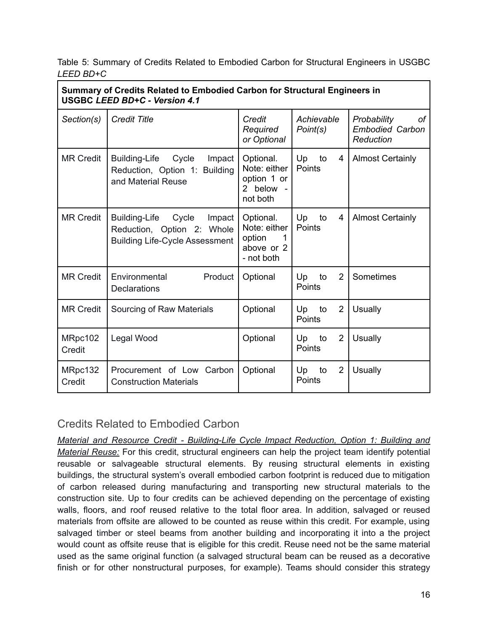Table 5: Summary of Credits Related to Embodied Carbon for Structural Engineers in USGBC *LEED BD+C*

| Summary of Credits Related to Embodied Carbon for Structural Engineers in<br><b>USGBC LEED BD+C - Version 4.1</b> |                                                                                                                |                                                                      |                                      |                                                          |
|-------------------------------------------------------------------------------------------------------------------|----------------------------------------------------------------------------------------------------------------|----------------------------------------------------------------------|--------------------------------------|----------------------------------------------------------|
| Section(s)                                                                                                        | <b>Credit Title</b>                                                                                            | Credit<br>Required<br>or Optional                                    | Achievable<br>Point(s)               | Probability<br>оf<br><b>Embodied Carbon</b><br>Reduction |
| <b>MR Credit</b>                                                                                                  | <b>Building-Life</b><br>Cycle<br>Impact<br>Reduction, Option 1: Building<br>and Material Reuse                 | Optional.<br>Note: either<br>option 1 or<br>2 below -<br>not both    | Up<br>to<br>4<br>Points              | <b>Almost Certainly</b>                                  |
| <b>MR Credit</b>                                                                                                  | <b>Building-Life</b><br>Cycle<br>Impact<br>Reduction, Option 2: Whole<br><b>Building Life-Cycle Assessment</b> | Optional.<br>Note: either<br>option<br>1<br>above or 2<br>- not both | Up<br>to<br>4<br>Points              | <b>Almost Certainly</b>                                  |
| <b>MR Credit</b>                                                                                                  | Environmental<br>Product<br><b>Declarations</b>                                                                | Optional                                                             | 2<br>Up<br>to<br>Points              | Sometimes                                                |
| <b>MR Credit</b>                                                                                                  | Sourcing of Raw Materials                                                                                      | Optional                                                             | $\overline{2}$<br>Up<br>to<br>Points | Usually                                                  |
| MRpc102<br>Credit                                                                                                 | Legal Wood                                                                                                     | Optional                                                             | $\overline{2}$<br>Up<br>to<br>Points | <b>Usually</b>                                           |
| MRpc132<br>Credit                                                                                                 | Procurement of Low Carbon<br><b>Construction Materials</b>                                                     | Optional                                                             | $\overline{2}$<br>Up<br>to<br>Points | <b>Usually</b>                                           |

<span id="page-15-0"></span>*Material and Resource Credit - Building-Life Cycle Impact Reduction, Option 1: Building and Material Reuse:* For this credit, structural engineers can help the project team identify potential reusable or salvageable structural elements. By reusing structural elements in existing buildings, the structural system's overall embodied carbon footprint is reduced due to mitigation of carbon released during manufacturing and transporting new structural materials to the construction site. Up to four credits can be achieved depending on the percentage of existing walls, floors, and roof reused relative to the total floor area. In addition, salvaged or reused materials from offsite are allowed to be counted as reuse within this credit. For example, using salvaged timber or steel beams from another building and incorporating it into a the project would count as offsite reuse that is eligible for this credit. Reuse need not be the same material used as the same original function (a salvaged structural beam can be reused as a decorative finish or for other nonstructural purposes, for example). Teams should consider this strategy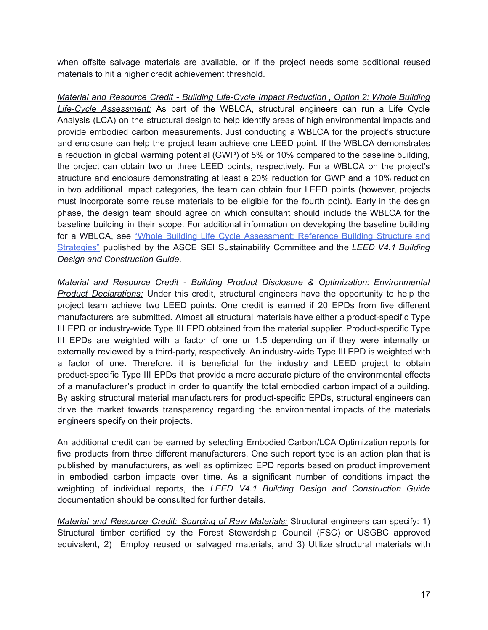when offsite salvage materials are available, or if the project needs some additional reused materials to hit a higher credit achievement threshold.

*Material and Resource Credit - Building Life-Cycle Impact Reduction , Option 2: Whole Building Life-Cycle Assessment:* As part of the WBLCA, structural engineers can run a Life Cycle Analysis (LCA) on the structural design to help identify areas of high environmental impacts and provide embodied carbon measurements. Just conducting a WBLCA for the project's structure and enclosure can help the project team achieve one LEED point. If the WBLCA demonstrates a reduction in global warming potential (GWP) of 5% or 10% compared to the baseline building, the project can obtain two or three LEED points, respectively. For a WBLCA on the project's structure and enclosure demonstrating at least a 20% reduction for GWP and a 10% reduction in two additional impact categories, the team can obtain four LEED points (however, projects must incorporate some reuse materials to be eligible for the fourth point). Early in the design phase, the design team should agree on which consultant should include the WBLCA for the baseline building in their scope. For additional information on developing the baseline building for a WBLCA, see "Whole Building Life Cycle [Assessment:](https://ascelibrary.org/doi/book/10.1061/9780784415054) Reference Building Structure and [Strategies"](https://ascelibrary.org/doi/book/10.1061/9780784415054) published by the ASCE SEI Sustainability Committee and the *LEED V4.1 Building Design and Construction Guide*.

*Material and Resource Credit - Building Product Disclosure & Optimization: Environmental Product Declarations:* Under this credit, structural engineers have the opportunity to help the project team achieve two LEED points. One credit is earned if 20 EPDs from five different manufacturers are submitted. Almost all structural materials have either a product-specific Type III EPD or industry-wide Type III EPD obtained from the material supplier. Product-specific Type III EPDs are weighted with a factor of one or 1.5 depending on if they were internally or externally reviewed by a third-party, respectively. An industry-wide Type III EPD is weighted with a factor of one. Therefore, it is beneficial for the industry and LEED project to obtain product-specific Type III EPDs that provide a more accurate picture of the environmental effects of a manufacturer's product in order to quantify the total embodied carbon impact of a building. By asking structural material manufacturers for product-specific EPDs, structural engineers can drive the market towards transparency regarding the environmental impacts of the materials engineers specify on their projects.

An additional credit can be earned by selecting Embodied Carbon/LCA Optimization reports for five products from three different manufacturers. One such report type is an action plan that is published by manufacturers, as well as optimized EPD reports based on product improvement in embodied carbon impacts over time. As a significant number of conditions impact the weighting of individual reports, the *LEED V4.1 Building Design and Construction Guide* documentation should be consulted for further details.

*Material and Resource Credit: Sourcing of Raw Materials:* Structural engineers can specify: 1) Structural timber certified by the Forest Stewardship Council (FSC) or USGBC approved equivalent, 2) Employ reused or salvaged materials, and 3) Utilize structural materials with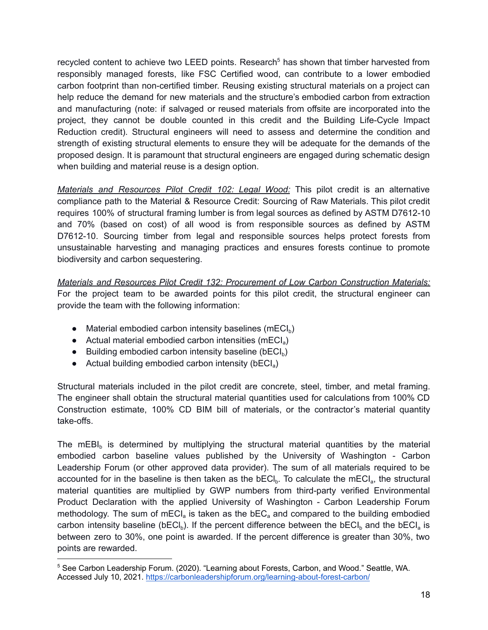recycled content to achieve two LEED points. Research<sup>5</sup> has shown that timber harvested from responsibly managed forests, like FSC Certified wood, can contribute to a lower embodied carbon footprint than non-certified timber. Reusing existing structural materials on a project can help reduce the demand for new materials and the structure's embodied carbon from extraction and manufacturing (note: if salvaged or reused materials from offsite are incorporated into the project, they cannot be double counted in this credit and the Building Life-Cycle Impact Reduction credit). Structural engineers will need to assess and determine the condition and strength of existing structural elements to ensure they will be adequate for the demands of the proposed design. It is paramount that structural engineers are engaged during schematic design when building and material reuse is a design option.

*Materials and Resources Pilot Credit 102: Legal Wood:* This pilot credit is an alternative compliance path to the Material & Resource Credit: Sourcing of Raw Materials. This pilot credit requires 100% of structural framing lumber is from legal sources as defined by ASTM D7612-10 and 70% (based on cost) of all wood is from responsible sources as defined by ASTM D7612-10. Sourcing timber from legal and responsible sources helps protect forests from unsustainable harvesting and managing practices and ensures forests continue to promote biodiversity and carbon sequestering.

*Materials and Resources Pilot Credit 132: Procurement of Low Carbon Construction Materials:* For the project team to be awarded points for this pilot credit, the structural engineer can provide the team with the following information:

- $\bullet$  Material embodied carbon intensity baselines (mECI<sub>b</sub>)
- $\bullet$  Actual material embodied carbon intensities (mECl<sub>a</sub>)
- $\bullet$  Building embodied carbon intensity baseline (bECI<sub>b</sub>)
- $\bullet$  Actual building embodied carbon intensity (bECl<sub>a</sub>)

Structural materials included in the pilot credit are concrete, steel, timber, and metal framing. The engineer shall obtain the structural material quantities used for calculations from 100% CD Construction estimate, 100% CD BIM bill of materials, or the contractor's material quantity take-offs.

The mEBI $_b$  is determined by multiplying the structural material quantities by the material embodied carbon baseline values published by the University of Washington - Carbon Leadership Forum (or other approved data provider). The sum of all materials required to be accounted for in the baseline is then taken as the bECI<sub>b</sub>. To calculate the mECI<sub>a</sub>, the structural material quantities are multiplied by GWP numbers from third-party verified Environmental Product Declaration with the applied University of Washington - Carbon Leadership Forum methodology. The sum of mECI<sub>a</sub> is taken as the bEC<sub>a</sub> and compared to the building embodied carbon intensity baseline (bECI<sub>b</sub>). If the percent difference between the bECI<sub>b</sub> and the bECI<sub>a</sub> is between zero to 30%, one point is awarded. If the percent difference is greater than 30%, two points are rewarded.

<sup>5</sup> See Carbon Leadership Forum. (2020). "Learning about Forests, Carbon, and Wood." Seattle, WA. Accessed July 10, 2021. <https://carbonleadershipforum.org/learning-about-forest-carbon/>